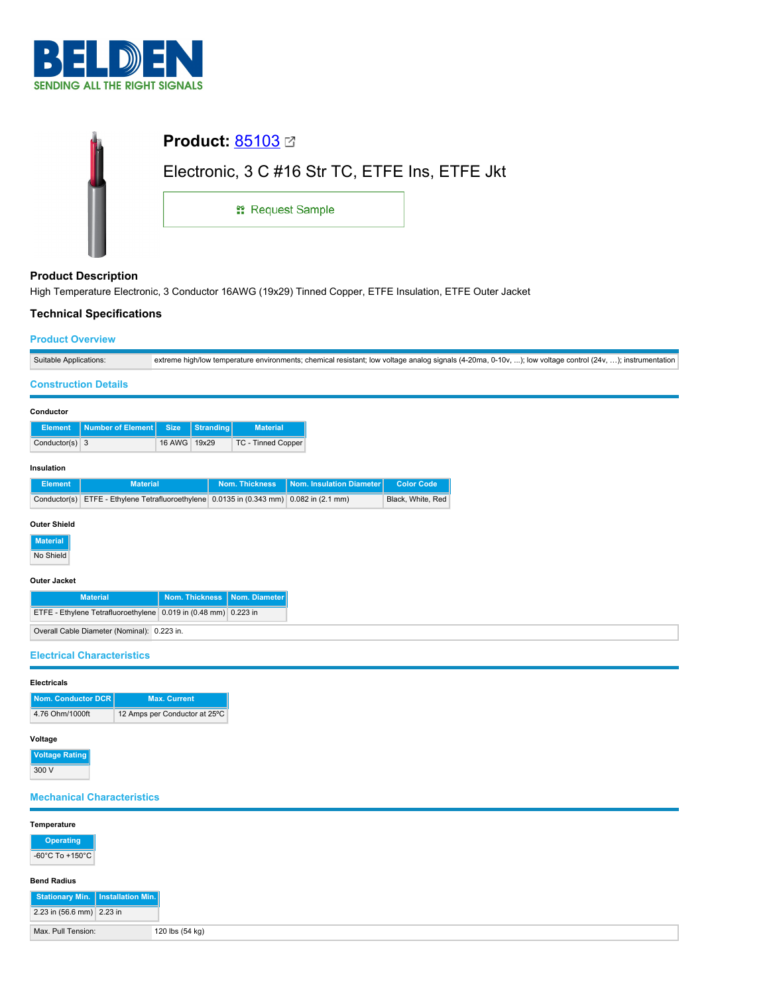

| İ |                                                |  |
|---|------------------------------------------------|--|
|   | Electronic, 3 C #16 Str TC, ETFE Ins, ETFE Jkt |  |
|   | <b>: Request Sample</b>                        |  |
|   |                                                |  |

# **Product Description**

High Temperature Electronic, 3 Conductor 16AWG (19x29) Tinned Copper, ETFE Insulation, ETFE Outer Jacket

#### **Technical Specifications**

#### **Product Overview**

| Suitable Applications: | extreme high/low temperature environments; chemical resistant; low voltage analog signals (4-20ma, 0-10v, ); low voltage control (24v, ); instrumentation |
|------------------------|-----------------------------------------------------------------------------------------------------------------------------------------------------------|

#### **Construction Details**

| Conductor        |                            |               |                  |                           |                          |                   |
|------------------|----------------------------|---------------|------------------|---------------------------|--------------------------|-------------------|
| <b>Element</b>   | <b>Number of Element I</b> | <b>Size</b>   | <b>Stranding</b> | <b>Material</b>           |                          |                   |
| Conductor(s) $3$ |                            | <b>16 AWG</b> | 19x29            | <b>TC - Tinned Copper</b> |                          |                   |
| Insulation       |                            |               |                  |                           |                          |                   |
| <b>Element</b>   | <b>Material</b>            |               |                  | <b>Nom. Thickness</b>     | Nom. Insulation Diameter | <b>Color Code</b> |

| <b>Element</b> | <b>Material</b>                                                                         | Nom. Thickness   Nom. Insulation Diameter | <b>Color Code</b> |
|----------------|-----------------------------------------------------------------------------------------|-------------------------------------------|-------------------|
|                | Conductor(s) ETFE - Ethylene Tetrafluoroethylene 0.0135 in (0.343 mm) 0.082 in (2.1 mm) |                                           | Black, White, Red |

#### **Outer Shield**

**Material**

No Shield

### **Outer Jacket**

| <b>Material</b>                                                 | Nom. Thickness   Nom. Diameter |  |
|-----------------------------------------------------------------|--------------------------------|--|
| ETFE - Ethylene Tetrafluoroethylene 0.019 in (0.48 mm) 0.223 in |                                |  |
| Overall Cable Diameter (Nominal): 0.223 in.                     |                                |  |

#### **Electrical Characteristics**

| Nom. Conductor DCR | <b>Max. Current</b>           |
|--------------------|-------------------------------|
| 4.76 Ohm/1000ft    | 12 Amps per Conductor at 25°C |

# **Voltage Rating**

 $300V$ 

## **Mechanical Characteristics**

| Temperature                         |                 |
|-------------------------------------|-----------------|
| <b>Operating</b>                    |                 |
| -60°C To +150°C                     |                 |
| <b>Bend Radius</b>                  |                 |
| Stationary Min.   Installation Min. |                 |
| 2.23 in $(56.6 \text{ mm})$ 2.23 in |                 |
| Max. Pull Tension:                  | 120 lbs (54 kg) |